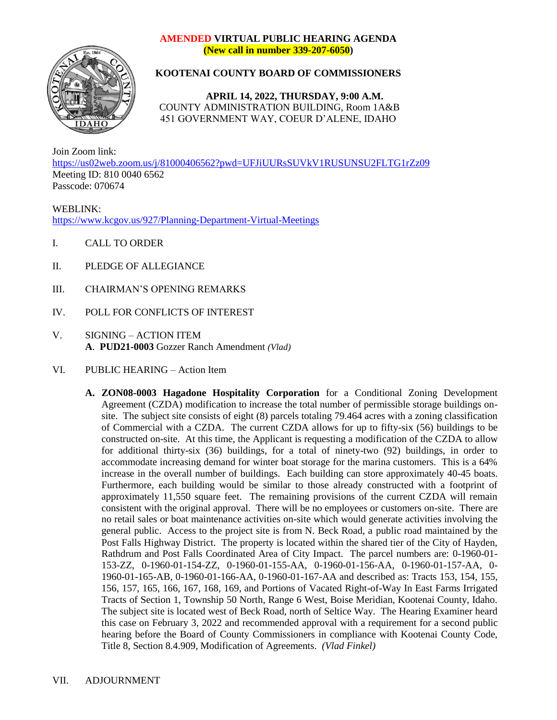## **AMENDED VIRTUAL PUBLIC HEARING AGENDA (New call in number 339-207-6050)**



## **KOOTENAI COUNTY BOARD OF COMMISSIONERS**

**APRIL 14, 2022, THURSDAY, 9:00 A.M.** COUNTY ADMINISTRATION BUILDING, Room 1A&B 451 GOVERNMENT WAY, COEUR D'ALENE, IDAHO

Join Zoom link: <https://us02web.zoom.us/j/81000406562?pwd=UFJiUURsSUVkV1RUSUNSU2FLTG1rZz09> Meeting ID: 810 0040 6562 Passcode: 070674

WEBLINK: <https://www.kcgov.us/927/Planning-Department-Virtual-Meetings>

- I. CALL TO ORDER
- II. PLEDGE OF ALLEGIANCE
- III. CHAIRMAN'S OPENING REMARKS
- IV. POLL FOR CONFLICTS OF INTEREST
- V. SIGNING ACTION ITEM **A**. **PUD21-0003** Gozzer Ranch Amendment *(Vlad)*
- VI. PUBLIC HEARING Action Item
	- **A. ZON08-0003 Hagadone Hospitality Corporation** for a Conditional Zoning Development Agreement (CZDA) modification to increase the total number of permissible storage buildings onsite. The subject site consists of eight (8) parcels totaling 79.464 acres with a zoning classification of Commercial with a CZDA. The current CZDA allows for up to fifty-six (56) buildings to be constructed on-site. At this time, the Applicant is requesting a modification of the CZDA to allow for additional thirty-six (36) buildings, for a total of ninety-two (92) buildings, in order to accommodate increasing demand for winter boat storage for the marina customers. This is a 64% increase in the overall number of buildings. Each building can store approximately 40-45 boats. Furthermore, each building would be similar to those already constructed with a footprint of approximately 11,550 square feet. The remaining provisions of the current CZDA will remain consistent with the original approval. There will be no employees or customers on-site. There are no retail sales or boat maintenance activities on-site which would generate activities involving the general public. Access to the project site is from N. Beck Road, a public road maintained by the Post Falls Highway District. The property is located within the shared tier of the City of Hayden, Rathdrum and Post Falls Coordinated Area of City Impact. The parcel numbers are: 0-1960-01- 153-ZZ, 0-1960-01-154-ZZ, 0-1960-01-155-AA, 0-1960-01-156-AA, 0-1960-01-157-AA, 0- 1960-01-165-AB, 0-1960-01-166-AA, 0-1960-01-167-AA and described as: Tracts 153, 154, 155, 156, 157, 165, 166, 167, 168, 169, and Portions of Vacated Right-of-Way In East Farms Irrigated Tracts of Section 1, Township 50 North, Range 6 West, Boise Meridian, Kootenai County, Idaho. The subject site is located west of Beck Road, north of Seltice Way. The Hearing Examiner heard this case on February 3, 2022 and recommended approval with a requirement for a second public hearing before the Board of County Commissioners in compliance with Kootenai County Code, Title 8, Section 8.4.909, Modification of Agreements. *(Vlad Finkel)*